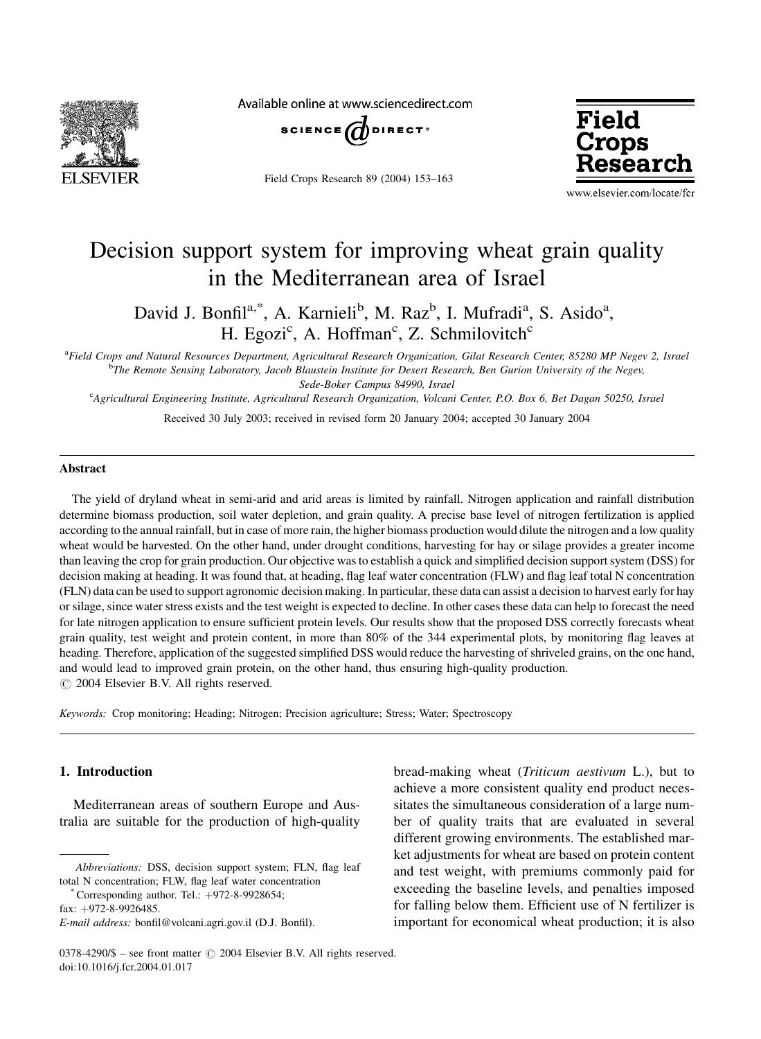

Available online at www.sciencedirect.com



Field Crops Research 89 (2004) 153–163



www.elsevier.com/locate/fcr

# Decision support system for improving wheat grain quality in the Mediterranean area of Israel

David J. Bonfil<sup>a,\*</sup>, A. Karnieli<sup>b</sup>, M. Raz<sup>b</sup>, I. Mufradi<sup>a</sup>, S. Asido<sup>a</sup>, H. Egozi<sup>c</sup>, A. Hoffman<sup>c</sup>, Z. Schmilovitch<sup>c</sup>

a *Field Crops and Natural Resources Department, Agricultural Research Organization, Gilat Research Center, 85280 MP Negev 2, Israel* b *The Remote Sensing Laboratory, Jacob Blaustein Institute for Desert Research, Ben Gurion University of the Negev, Sede-Boker Campus 84990, Israel*

c *Agricultural Engineering Institute, Agricultural Research Organization, Volcani Center, P.O. Box 6, Bet Dagan 50250, Israel*

Received 30 July 2003; received in revised form 20 January 2004; accepted 30 January 2004

### Abstract

The yield of dryland wheat in semi-arid and arid areas is limited by rainfall. Nitrogen application and rainfall distribution determine biomass production, soil water depletion, and grain quality. A precise base level of nitrogen fertilization is applied according to the annual rainfall, but in case of more rain, the higher biomass production would dilute the nitrogen and a low quality wheat would be harvested. On the other hand, under drought conditions, harvesting for hay or silage provides a greater income than leaving the crop for grain production. Our objective was to establish a quick and simplified decision support system (DSS) for decision making at heading. It was found that, at heading, flag leaf water concentration (FLW) and flag leaf total N concentration (FLN) data can be used to support agronomic decision making. In particular, these data can assist a decision to harvest early for hay or silage, since water stress exists and the test weight is expected to decline. In other cases these data can help to forecast the need for late nitrogen application to ensure sufficient protein levels. Our results show that the proposed DSS correctly forecasts wheat grain quality, test weight and protein content, in more than 80% of the 344 experimental plots, by monitoring flag leaves at heading. Therefore, application of the suggested simplified DSS would reduce the harvesting of shriveled grains, on the one hand, and would lead to improved grain protein, on the other hand, thus ensuring high-quality production.  $\odot$  2004 Elsevier B.V. All rights reserved.

*Keywords:* Crop monitoring; Heading; Nitrogen; Precision agriculture; Stress; Water; Spectroscopy

## 1. Introduction

Mediterranean areas of southern Europe and Australia are suitable for the production of high-quality

Corresponding author. Tel.:  $+972-8-9928654$ ;

bread-making wheat (*Triticum aestivum* L.), but to achieve a more consistent quality end product necessitates the simultaneous consideration of a large number of quality traits that are evaluated in several different growing environments. The established market adjustments for wheat are based on protein content and test weight, with premiums commonly paid for exceeding the baseline levels, and penalties imposed for falling below them. Efficient use of N fertilizer is important for economical wheat production; it is also

*Abbreviations:* DSS, decision support system; FLN, flag leaf total N concentration; FLW, flag leaf water concentration

fax: +972-8-9926485.

*E-mail address:* bonfil@volcani.agri.gov.il (D.J. Bonfil).

<sup>0378-4290/\$ –</sup> see front matter  $\odot$  2004 Elsevier B.V. All rights reserved. doi:10.1016/j.fcr.2004.01.017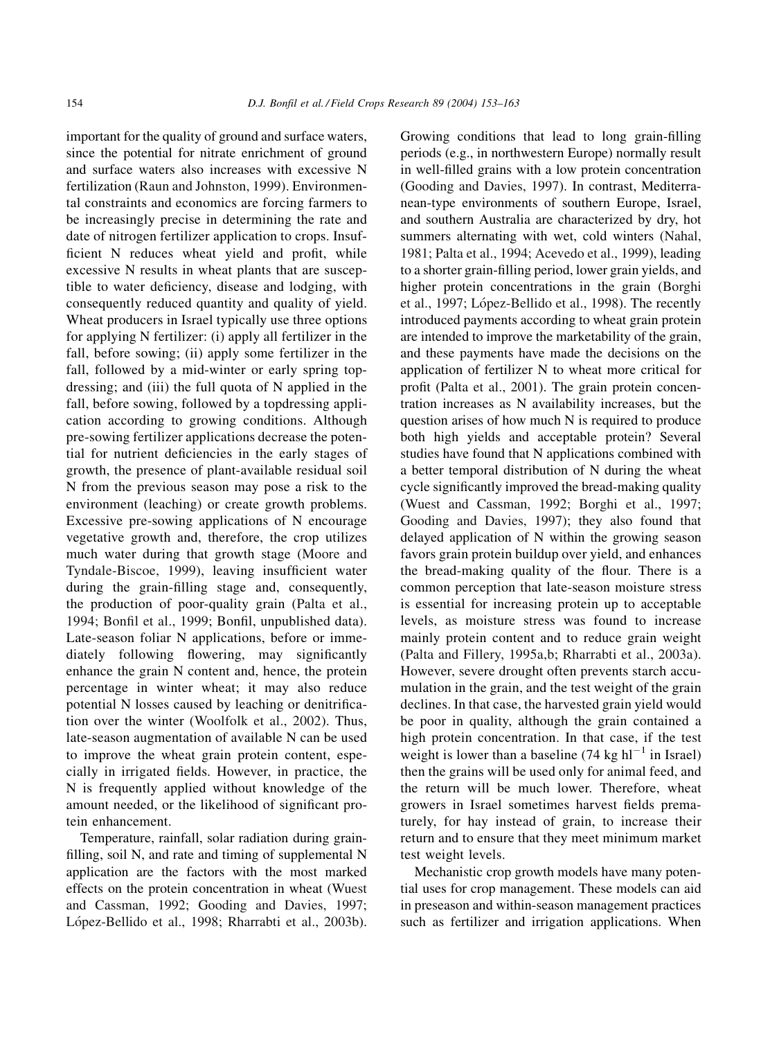important for the quality of ground and surface waters, since the potential for nitrate enrichment of ground and surface waters also increases with excessive N fertilization (Raun and Johnston, 1999). Environmental constraints and economics are forcing farmers to be increasingly precise in determining the rate and date of nitrogen fertilizer application to crops. Insufficient N reduces wheat yield and profit, while excessive N results in wheat plants that are susceptible to water deficiency, disease and lodging, with consequently reduced quantity and quality of yield. Wheat producers in Israel typically use three options for applying N fertilizer: (i) apply all fertilizer in the fall, before sowing; (ii) apply some fertilizer in the fall, followed by a mid-winter or early spring topdressing; and (iii) the full quota of N applied in the fall, before sowing, followed by a topdressing application according to growing conditions. Although pre-sowing fertilizer applications decrease the potential for nutrient deficiencies in the early stages of growth, the presence of plant-available residual soil N from the previous season may pose a risk to the environment (leaching) or create growth problems. Excessive pre-sowing applications of N encourage vegetative growth and, therefore, the crop utilizes much water during that growth stage (Moore and Tyndale-Biscoe, 1999), leaving insufficient water during the grain-filling stage and, consequently, the production of poor-quality grain (Palta et al., 1994; Bonfil et al., 1999; Bonfil, unpublished data). Late-season foliar N applications, before or immediately following flowering, may significantly enhance the grain N content and, hence, the protein percentage in winter wheat; it may also reduce potential N losses caused by leaching or denitrification over the winter (Woolfolk et al., 2002). Thus, late-season augmentation of available N can be used to improve the wheat grain protein content, especially in irrigated fields. However, in practice, the N is frequently applied without knowledge of the amount needed, or the likelihood of significant protein enhancement.

Temperature, rainfall, solar radiation during grainfilling, soil N, and rate and timing of supplemental N application are the factors with the most marked effects on the protein concentration in wheat (Wuest and Cassman, 1992; Gooding and Davies, 1997; López-Bellido et al., 1998; Rharrabti et al., 2003b). Growing conditions that lead to long grain-filling periods (e.g., in northwestern Europe) normally result in well-filled grains with a low protein concentration (Gooding and Davies, 1997). In contrast, Mediterranean-type environments of southern Europe, Israel, and southern Australia are characterized by dry, hot summers alternating with wet, cold winters (Nahal, 1981; Palta et al., 1994; Acevedo et al., 1999), leading to a shorter grain-filling period, lower grain yields, and higher protein concentrations in the grain (Borghi et al., 1997; López-Bellido et al., 1998). The recently introduced payments according to wheat grain protein are intended to improve the marketability of the grain, and these payments have made the decisions on the application of fertilizer N to wheat more critical for profit (Palta et al., 2001). The grain protein concentration increases as N availability increases, but the question arises of how much N is required to produce both high yields and acceptable protein? Several studies have found that N applications combined with a better temporal distribution of N during the wheat cycle significantly improved the bread-making quality (Wuest and Cassman, 1992; Borghi et al., 1997; Gooding and Davies, 1997); they also found that delayed application of N within the growing season favors grain protein buildup over yield, and enhances the bread-making quality of the flour. There is a common perception that late-season moisture stress is essential for increasing protein up to acceptable levels, as moisture stress was found to increase mainly protein content and to reduce grain weight (Palta and Fillery, 1995a,b; Rharrabti et al., 2003a). However, severe drought often prevents starch accumulation in the grain, and the test weight of the grain declines. In that case, the harvested grain yield would be poor in quality, although the grain contained a high protein concentration. In that case, if the test weight is lower than a baseline  $(74 \text{ kg h}^{-1})$  in Israel) then the grains will be used only for animal feed, and the return will be much lower. Therefore, wheat growers in Israel sometimes harvest fields prematurely, for hay instead of grain, to increase their return and to ensure that they meet minimum market test weight levels.

Mechanistic crop growth models have many potential uses for crop management. These models can aid in preseason and within-season management practices such as fertilizer and irrigation applications. When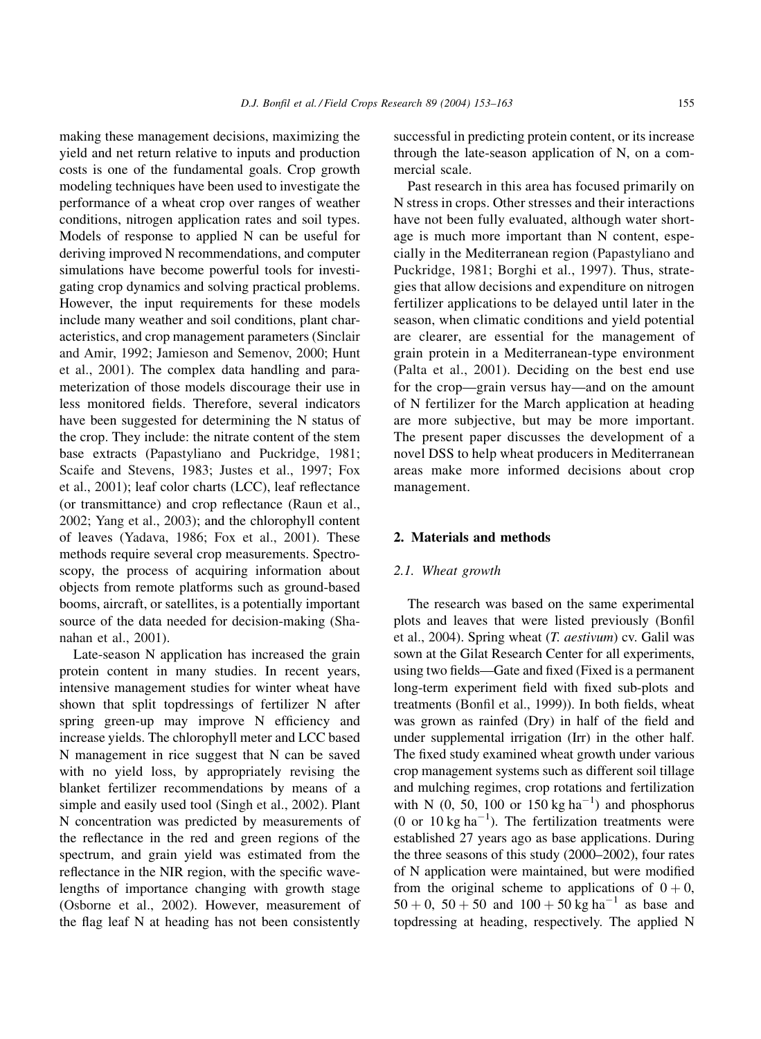making these management decisions, maximizing the yield and net return relative to inputs and production costs is one of the fundamental goals. Crop growth modeling techniques have been used to investigate the performance of a wheat crop over ranges of weather conditions, nitrogen application rates and soil types. Models of response to applied N can be useful for deriving improved N recommendations, and computer simulations have become powerful tools for investigating crop dynamics and solving practical problems. However, the input requirements for these models include many weather and soil conditions, plant characteristics, and crop management parameters (Sinclair and Amir, 1992; Jamieson and Semenov, 2000; Hunt et al., 2001). The complex data handling and parameterization of those models discourage their use in less monitored fields. Therefore, several indicators have been suggested for determining the N status of the crop. They include: the nitrate content of the stem base extracts (Papastyliano and Puckridge, 1981; Scaife and Stevens, 1983; Justes et al., 1997; Fox et al., 2001); leaf color charts (LCC), leaf reflectance (or transmittance) and crop reflectance (Raun et al., 2002; Yang et al., 2003); and the chlorophyll content of leaves (Yadava, 1986; Fox et al., 2001). These methods require several crop measurements. Spectroscopy, the process of acquiring information about objects from remote platforms such as ground-based booms, aircraft, or satellites, is a potentially important source of the data needed for decision-making (Sha-

Late-season N application has increased the grain protein content in many studies. In recent years, intensive management studies for winter wheat have shown that split topdressings of fertilizer N after spring green-up may improve N efficiency and increase yields. The chlorophyll meter and LCC based N management in rice suggest that N can be saved with no yield loss, by appropriately revising the blanket fertilizer recommendations by means of a simple and easily used tool (Singh et al., 2002). Plant N concentration was predicted by measurements of the reflectance in the red and green regions of the spectrum, and grain yield was estimated from the reflectance in the NIR region, with the specific wavelengths of importance changing with growth stage (Osborne et al., 2002). However, measurement of the flag leaf N at heading has not been consistently

nahan et al., 2001).

successful in predicting protein content, or its increase through the late-season application of N, on a commercial scale.

Past research in this area has focused primarily on N stress in crops. Other stresses and their interactions have not been fully evaluated, although water shortage is much more important than N content, especially in the Mediterranean region (Papastyliano and Puckridge, 1981; Borghi et al., 1997). Thus, strategies that allow decisions and expenditure on nitrogen fertilizer applications to be delayed until later in the season, when climatic conditions and yield potential are clearer, are essential for the management of grain protein in a Mediterranean-type environment (Palta et al., 2001). Deciding on the best end use for the crop—grain versus hay—and on the amount of N fertilizer for the March application at heading are more subjective, but may be more important. The present paper discusses the development of a novel DSS to help wheat producers in Mediterranean areas make more informed decisions about crop management.

## 2. Materials and methods

#### *2.1. Wheat growth*

The research was based on the same experimental plots and leaves that were listed previously (Bonfil et al., 2004). Spring wheat (*T. aestivum*) cv. Galil was sown at the Gilat Research Center for all experiments, using two fields—Gate and fixed (Fixed is a permanent long-term experiment field with fixed sub-plots and treatments (Bonfil et al., 1999)). In both fields, wheat was grown as rainfed (Dry) in half of the field and under supplemental irrigation (Irr) in the other half. The fixed study examined wheat growth under various crop management systems such as different soil tillage and mulching regimes, crop rotations and fertilization with N  $(0, 50, 100 \text{ or } 150 \text{ kg ha}^{-1})$  and phosphorus  $(0 \text{ or } 10 \text{ kg ha}^{-1})$ . The fertilization treatments were established 27 years ago as base applications. During the three seasons of this study (2000–2002), four rates of N application were maintained, but were modified from the original scheme to applications of  $0 + 0$ ,  $50 + 0$ ,  $50 + 50$  and  $100 + 50$  kg ha<sup>-1</sup> as base and topdressing at heading, respectively. The applied N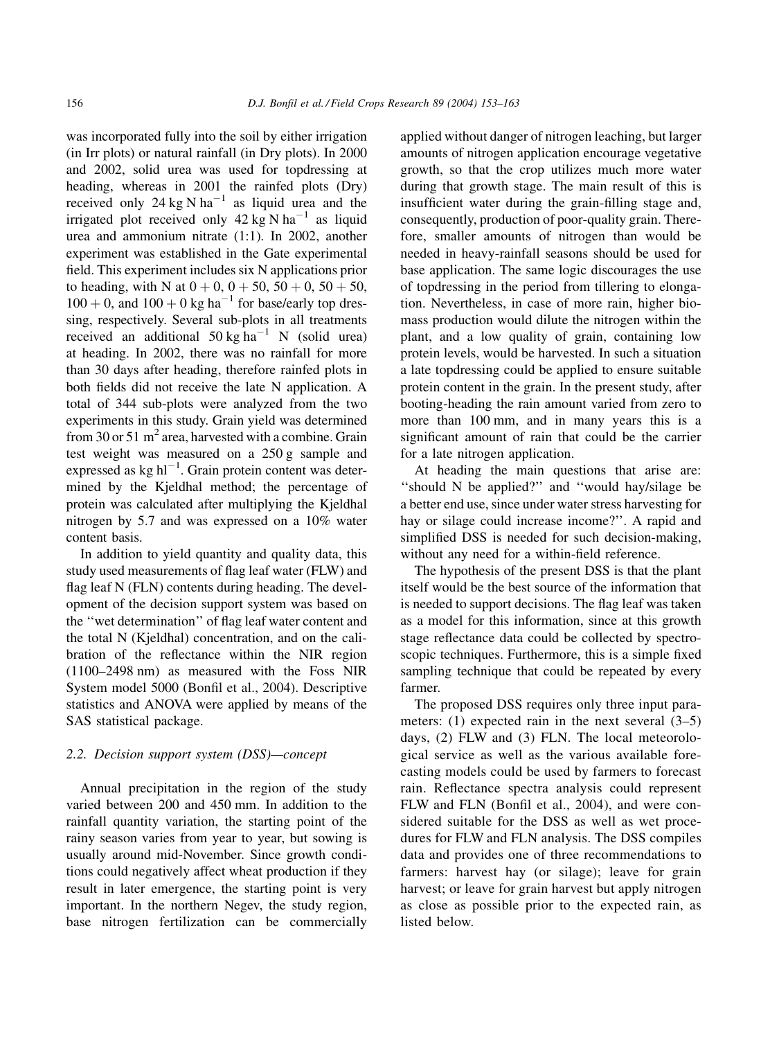was incorporated fully into the soil by either irrigation (in Irr plots) or natural rainfall (in Dry plots). In 2000 and 2002, solid urea was used for topdressing at heading, whereas in 2001 the rainfed plots (Dry) received only 24 kg N ha<sup>-1</sup> as liquid urea and the irrigated plot received only  $42 \text{ kg N} \text{ ha}^{-1}$  as liquid urea and ammonium nitrate (1:1). In 2002, another experiment was established in the Gate experimental field. This experiment includes six N applications prior to heading, with N at  $0 + 0$ ,  $0 + 50$ ,  $50 + 0$ ,  $50 + 50$ ,  $100 + 0$ , and  $100 + 0$  kg ha<sup>-1</sup> for base/early top dressing, respectively. Several sub-plots in all treatments received an additional  $50 \text{ kg ha}^{-1}$  N (solid urea) at heading. In 2002, there was no rainfall for more than 30 days after heading, therefore rainfed plots in both fields did not receive the late N application. A total of 344 sub-plots were analyzed from the two experiments in this study. Grain yield was determined from 30 or 51  $m^2$  area, harvested with a combine. Grain test weight was measured on a 250 g sample and expressed as  $kg \text{ h}^{-1}$ . Grain protein content was determined by the Kjeldhal method; the percentage of protein was calculated after multiplying the Kjeldhal nitrogen by 5.7 and was expressed on a 10% water content basis.

In addition to yield quantity and quality data, this study used measurements of flag leaf water (FLW) and flag leaf N (FLN) contents during heading. The development of the decision support system was based on the ''wet determination'' of flag leaf water content and the total N (Kjeldhal) concentration, and on the calibration of the reflectance within the NIR region (1100–2498 nm) as measured with the Foss NIR System model 5000 (Bonfil et al., 2004). Descriptive statistics and ANOVA were applied by means of the SAS statistical package.

#### *2.2. Decision support system (DSS)—concept*

Annual precipitation in the region of the study varied between 200 and 450 mm. In addition to the rainfall quantity variation, the starting point of the rainy season varies from year to year, but sowing is usually around mid-November. Since growth conditions could negatively affect wheat production if they result in later emergence, the starting point is very important. In the northern Negev, the study region, base nitrogen fertilization can be commercially applied without danger of nitrogen leaching, but larger amounts of nitrogen application encourage vegetative growth, so that the crop utilizes much more water during that growth stage. The main result of this is insufficient water during the grain-filling stage and, consequently, production of poor-quality grain. Therefore, smaller amounts of nitrogen than would be needed in heavy-rainfall seasons should be used for base application. The same logic discourages the use of topdressing in the period from tillering to elongation. Nevertheless, in case of more rain, higher biomass production would dilute the nitrogen within the plant, and a low quality of grain, containing low protein levels, would be harvested. In such a situation a late topdressing could be applied to ensure suitable protein content in the grain. In the present study, after booting-heading the rain amount varied from zero to more than 100 mm, and in many years this is a significant amount of rain that could be the carrier for a late nitrogen application.

At heading the main questions that arise are: ''should N be applied?'' and ''would hay/silage be a better end use, since under water stress harvesting for hay or silage could increase income?''. A rapid and simplified DSS is needed for such decision-making, without any need for a within-field reference.

The hypothesis of the present DSS is that the plant itself would be the best source of the information that is needed to support decisions. The flag leaf was taken as a model for this information, since at this growth stage reflectance data could be collected by spectroscopic techniques. Furthermore, this is a simple fixed sampling technique that could be repeated by every farmer.

The proposed DSS requires only three input parameters: (1) expected rain in the next several (3–5) days, (2) FLW and (3) FLN. The local meteorological service as well as the various available forecasting models could be used by farmers to forecast rain. Reflectance spectra analysis could represent FLW and FLN (Bonfil et al., 2004), and were considered suitable for the DSS as well as wet procedures for FLW and FLN analysis. The DSS compiles data and provides one of three recommendations to farmers: harvest hay (or silage); leave for grain harvest; or leave for grain harvest but apply nitrogen as close as possible prior to the expected rain, as listed below.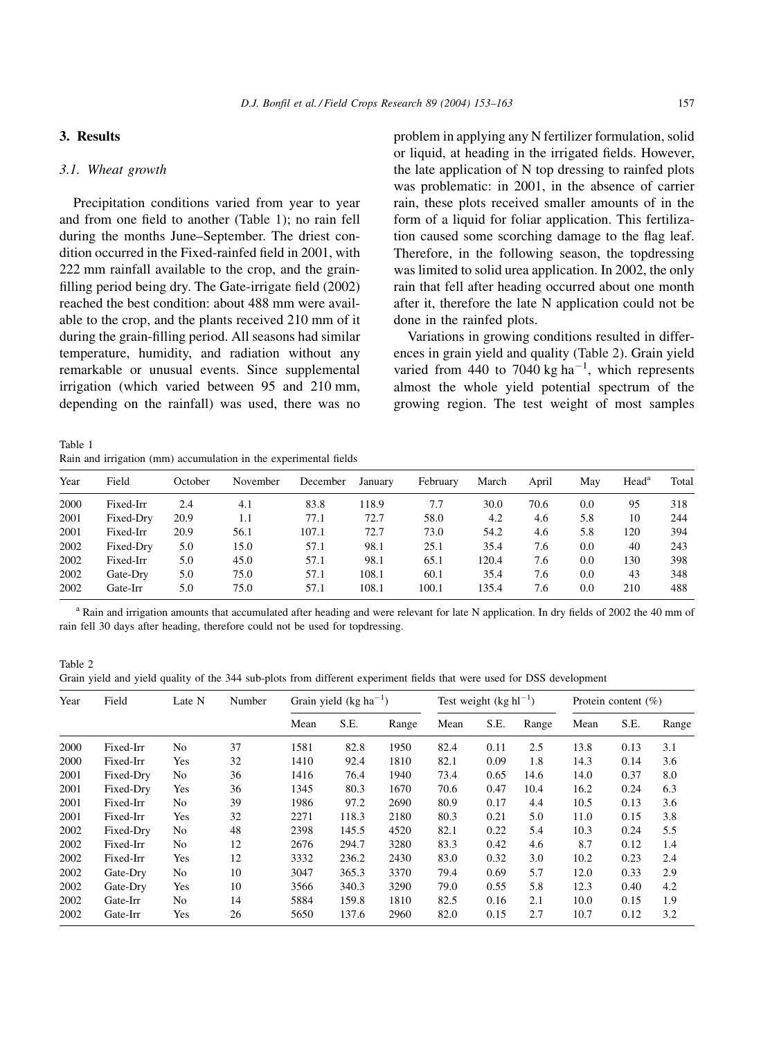## 3. Results

#### *3.1. Wheat growth*

Precipitation conditions varied from year to year and from one field to another (Table 1); no rain fell during the months June–September. The driest condition occurred in the Fixed-rainfed field in 2001, with 222 mm rainfall available to the crop, and the grainfilling period being dry. The Gate-irrigate field (2002) reached the best condition: about 488 mm were available to the crop, and the plants received 210 mm of it during the grain-filling period. All seasons had similar temperature, humidity, and radiation without any remarkable or unusual events. Since supplemental irrigation (which varied between 95 and 210 mm, depending on the rainfall) was used, there was no

Table 1 Rain and irrigation (mm) accumulation in the experimental fields

problem in applying any N fertilizer formulation, solid or liquid, at heading in the irrigated fields. However, the late application of N top dressing to rainfed plots was problematic: in 2001, in the absence of carrier rain, these plots received smaller amounts of in the form of a liquid for foliar application. This fertilization caused some scorching damage to the flag leaf. Therefore, in the following season, the topdressing was limited to solid urea application. In 2002, the only rain that fell after heading occurred about one month after it, therefore the late N application could not be done in the rainfed plots.

Variations in growing conditions resulted in differences in grain yield and quality (Table 2). Grain yield varied from  $\frac{440}{10}$  to  $\frac{7040}{10}$  kg ha<sup>-1</sup>, which represents almost the whole yield potential spectrum of the growing region. The test weight of most samples

| Year | Field     | October | November | December | January | February | March | April | May | Head <sup>a</sup> | Total |
|------|-----------|---------|----------|----------|---------|----------|-------|-------|-----|-------------------|-------|
| 2000 | Fixed-Irr | 2.4     | 4.1      | 83.8     | 118.9   | 7.7      | 30.0  | 70.6  | 0.0 | 95                | 318   |
| 2001 | Fixed-Dry | 20.9    | 1.1      | 77.1     | 72.7    | 58.0     | 4.2   | 4.6   | 5.8 | 10                | 244   |
| 2001 | Fixed-Irr | 20.9    | 56.1     | 107.1    | 72.7    | 73.0     | 54.2  | 4.6   | 5.8 | 120               | 394   |
| 2002 | Fixed-Dry | 5.0     | 15.0     | 57.1     | 98.1    | 25.1     | 35.4  | 7.6   | 0.0 | 40                | 243   |
| 2002 | Fixed-Irr | 5.0     | 45.0     | 57.1     | 98.1    | 65.1     | 120.4 | 7.6   | 0.0 | 130               | 398   |
| 2002 | Gate-Dry  | 5.0     | 75.0     | 57.1     | 108.1   | 60.1     | 35.4  | 7.6   | 0.0 | 43                | 348   |
| 2002 | Gate-Irr  | 5.0     | 75.0     | 57.1     | 108.1   | 100.1    | 135.4 | 7.6   | 0.0 | 210               | 488   |

<sup>a</sup> Rain and irrigation amounts that accumulated after heading and were relevant for late N application. In dry fields of 2002 the 40 mm of rain fell 30 days after heading, therefore could not be used for topdressing.

Table 2

Grain yield and yield quality of the 344 sub-plots from different experiment fields that were used for DSS development

| Year | Field     | Late N         | Number | Grain yield $(kg ha^{-1})$ |       |       | Test weight $(kg h l^{-1})$ |      |       | Protein content $(\% )$ |      |       |
|------|-----------|----------------|--------|----------------------------|-------|-------|-----------------------------|------|-------|-------------------------|------|-------|
|      |           |                |        | Mean                       | S.E.  | Range | Mean                        | S.E. | Range | Mean                    | S.E. | Range |
| 2000 | Fixed-Irr | N <sub>0</sub> | 37     | 1581                       | 82.8  | 1950  | 82.4                        | 0.11 | 2.5   | 13.8                    | 0.13 | 3.1   |
| 2000 | Fixed-Irr | Yes            | 32     | 1410                       | 92.4  | 1810  | 82.1                        | 0.09 | 1.8   | 14.3                    | 0.14 | 3.6   |
| 2001 | Fixed-Dry | No             | 36     | 1416                       | 76.4  | 1940  | 73.4                        | 0.65 | 14.6  | 14.0                    | 0.37 | 8.0   |
| 2001 | Fixed-Dry | Yes            | 36     | 1345                       | 80.3  | 1670  | 70.6                        | 0.47 | 10.4  | 16.2                    | 0.24 | 6.3   |
| 2001 | Fixed-Irr | N <sub>0</sub> | 39     | 1986                       | 97.2  | 2690  | 80.9                        | 0.17 | 4.4   | 10.5                    | 0.13 | 3.6   |
| 2001 | Fixed-Irr | Yes            | 32     | 2271                       | 118.3 | 2180  | 80.3                        | 0.21 | 5.0   | 11.0                    | 0.15 | 3.8   |
| 2002 | Fixed-Dry | No             | 48     | 2398                       | 145.5 | 4520  | 82.1                        | 0.22 | 5.4   | 10.3                    | 0.24 | 5.5   |
| 2002 | Fixed-Irr | N <sub>0</sub> | 12     | 2676                       | 294.7 | 3280  | 83.3                        | 0.42 | 4.6   | 8.7                     | 0.12 | 1.4   |
| 2002 | Fixed-Irr | Yes            | 12     | 3332                       | 236.2 | 2430  | 83.0                        | 0.32 | 3.0   | 10.2                    | 0.23 | 2.4   |
| 2002 | Gate-Dry  | No             | 10     | 3047                       | 365.3 | 3370  | 79.4                        | 0.69 | 5.7   | 12.0                    | 0.33 | 2.9   |
| 2002 | Gate-Dry  | Yes            | 10     | 3566                       | 340.3 | 3290  | 79.0                        | 0.55 | 5.8   | 12.3                    | 0.40 | 4.2   |
| 2002 | Gate-Irr  | N <sub>0</sub> | 14     | 5884                       | 159.8 | 1810  | 82.5                        | 0.16 | 2.1   | 10.0                    | 0.15 | 1.9   |
| 2002 | Gate-Irr  | Yes            | 26     | 5650                       | 137.6 | 2960  | 82.0                        | 0.15 | 2.7   | 10.7                    | 0.12 | 3.2   |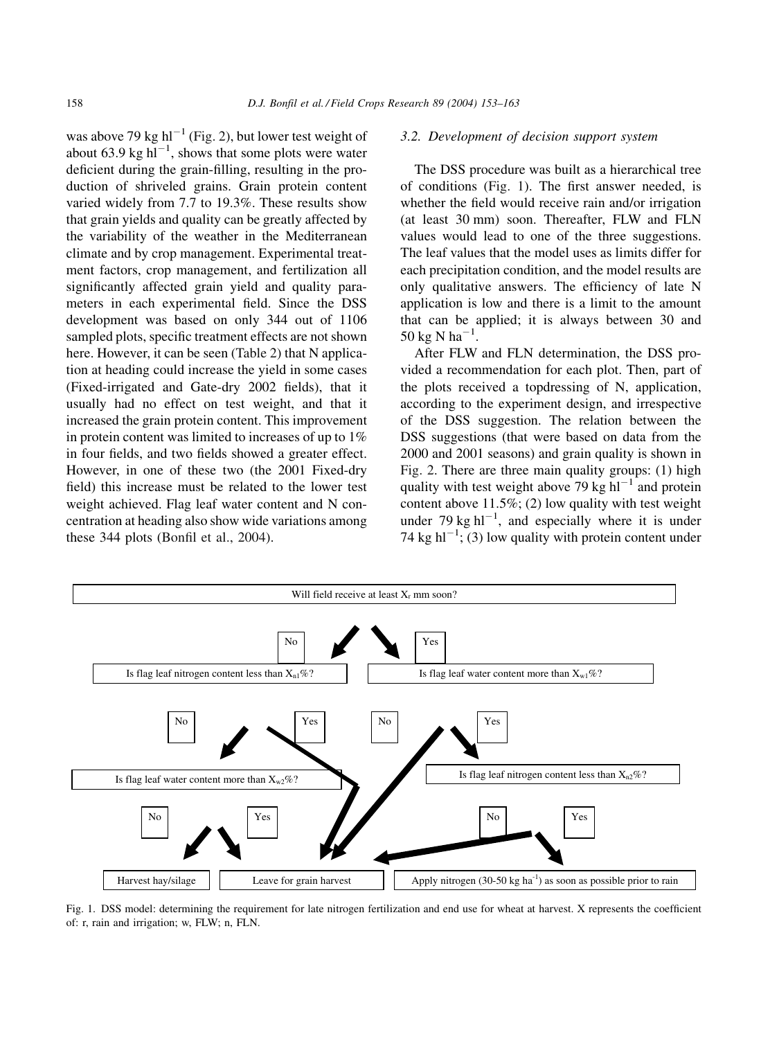was above 79 kg  $\text{hl}^{-1}$  (Fig. 2), but lower test weight of about 63.9 kg  $\mathrm{hl}^{-1}$ , shows that some plots were water deficient during the grain-filling, resulting in the production of shriveled grains. Grain protein content varied widely from 7.7 to 19.3%. These results show that grain yields and quality can be greatly affected by the variability of the weather in the Mediterranean climate and by crop management. Experimental treatment factors, crop management, and fertilization all significantly affected grain yield and quality parameters in each experimental field. Since the DSS development was based on only 344 out of 1106 sampled plots, specific treatment effects are not shown here. However, it can be seen (Table 2) that N application at heading could increase the yield in some cases (Fixed-irrigated and Gate-dry 2002 fields), that it usually had no effect on test weight, and that it increased the grain protein content. This improvement in protein content was limited to increases of up to 1% in four fields, and two fields showed a greater effect. However, in one of these two (the 2001 Fixed-dry field) this increase must be related to the lower test weight achieved. Flag leaf water content and N concentration at heading also show wide variations among these 344 plots (Bonfil et al., 2004).

## *3.2. Development of decision support system*

The DSS procedure was built as a hierarchical tree of conditions (Fig. 1). The first answer needed, is whether the field would receive rain and/or irrigation (at least 30 mm) soon. Thereafter, FLW and FLN values would lead to one of the three suggestions. The leaf values that the model uses as limits differ for each precipitation condition, and the model results are only qualitative answers. The efficiency of late N application is low and there is a limit to the amount that can be applied; it is always between 30 and  $50 \text{ kg N} \text{ ha}^{-1}$ .

After FLW and FLN determination, the DSS provided a recommendation for each plot. Then, part of the plots received a topdressing of N, application, according to the experiment design, and irrespective of the DSS suggestion. The relation between the DSS suggestions (that were based on data from the 2000 and 2001 seasons) and grain quality is shown in Fig. 2. There are three main quality groups: (1) high quality with test weight above 79 kg  $\text{hl}^{-1}$  and protein content above 11.5%; (2) low quality with test weight under 79 kg  $\text{hl}^{-1}$ , and especially where it is under 74 kg  $\text{hl}^{-1}$ ; (3) low quality with protein content under



Fig. 1. DSS model: determining the requirement for late nitrogen fertilization and end use for wheat at harvest. X represents the coefficient of: r, rain and irrigation; w, FLW; n, FLN.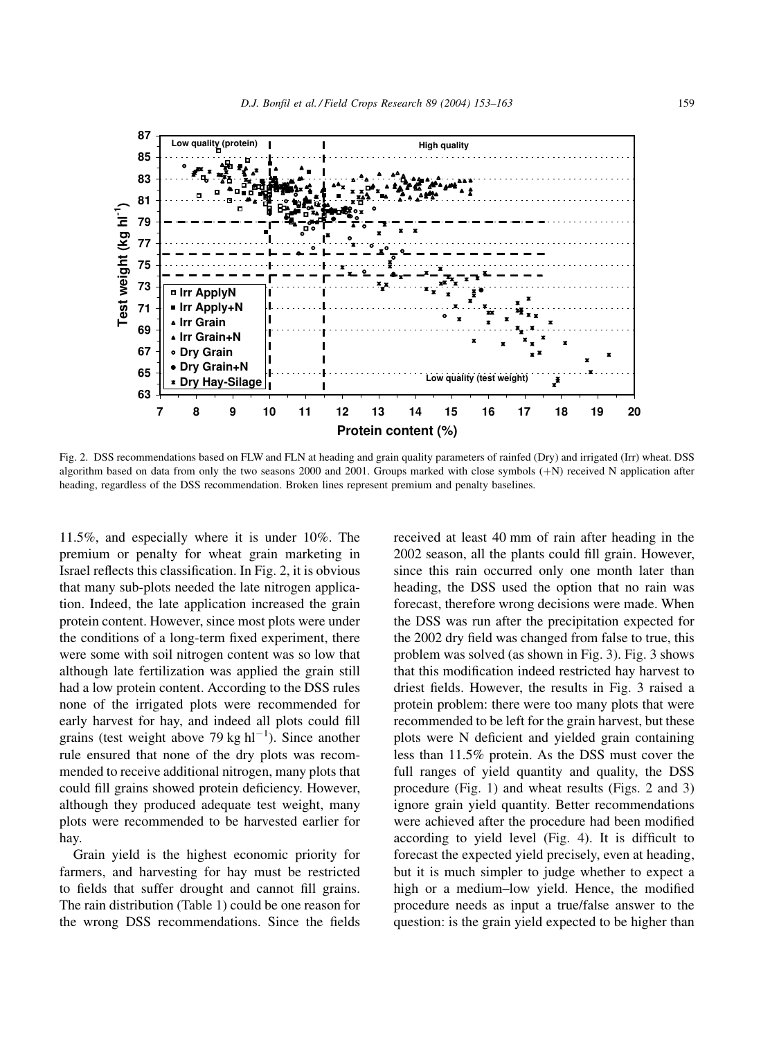

Fig. 2. DSS recommendations based on FLW and FLN at heading and grain quality parameters of rainfed (Dry) and irrigated (Irr) wheat. DSS algorithm based on data from only the two seasons 2000 and 2001. Groups marked with close symbols  $(+)N$  received N application after heading, regardless of the DSS recommendation. Broken lines represent premium and penalty baselines.

11.5%, and especially where it is under 10%. The premium or penalty for wheat grain marketing in Israel reflects this classification. In Fig. 2, it is obvious that many sub-plots needed the late nitrogen application. Indeed, the late application increased the grain protein content. However, since most plots were under the conditions of a long-term fixed experiment, there were some with soil nitrogen content was so low that although late fertilization was applied the grain still had a low protein content. According to the DSS rules none of the irrigated plots were recommended for early harvest for hay, and indeed all plots could fill grains (test weight above 79 kg  $hl^{-1}$ ). Since another rule ensured that none of the dry plots was recommended to receive additional nitrogen, many plots that could fill grains showed protein deficiency. However, although they produced adequate test weight, many plots were recommended to be harvested earlier for hay.

Grain yield is the highest economic priority for farmers, and harvesting for hay must be restricted to fields that suffer drought and cannot fill grains. The rain distribution (Table 1) could be one reason for the wrong DSS recommendations. Since the fields received at least 40 mm of rain after heading in the 2002 season, all the plants could fill grain. However, since this rain occurred only one month later than heading, the DSS used the option that no rain was forecast, therefore wrong decisions were made. When the DSS was run after the precipitation expected for the 2002 dry field was changed from false to true, this problem was solved (as shown in Fig. 3). Fig. 3 shows that this modification indeed restricted hay harvest to driest fields. However, the results in Fig. 3 raised a protein problem: there were too many plots that were recommended to be left for the grain harvest, but these plots were N deficient and yielded grain containing less than 11.5% protein. As the DSS must cover the full ranges of yield quantity and quality, the DSS procedure (Fig. 1) and wheat results (Figs. 2 and 3) ignore grain yield quantity. Better recommendations were achieved after the procedure had been modified according to yield level (Fig. 4). It is difficult to forecast the expected yield precisely, even at heading, but it is much simpler to judge whether to expect a high or a medium–low yield. Hence, the modified procedure needs as input a true/false answer to the question: is the grain yield expected to be higher than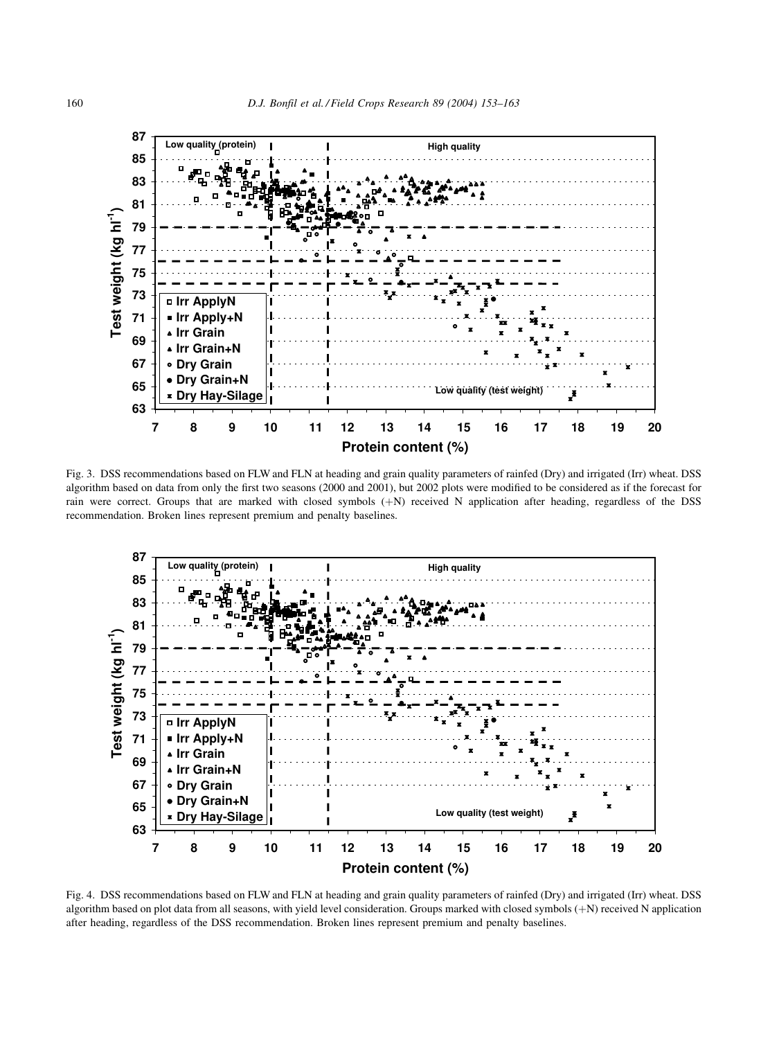

Fig. 3. DSS recommendations based on FLW and FLN at heading and grain quality parameters of rainfed (Dry) and irrigated (Irr) wheat. DSS algorithm based on data from only the first two seasons (2000 and 2001), but 2002 plots were modified to be considered as if the forecast for rain were correct. Groups that are marked with closed symbols (+N) received N application after heading, regardless of the DSS recommendation. Broken lines represent premium and penalty baselines.



Fig. 4. DSS recommendations based on FLW and FLN at heading and grain quality parameters of rainfed (Dry) and irrigated (Irr) wheat. DSS algorithm based on plot data from all seasons, with yield level consideration. Groups marked with closed symbols (+N) received N application after heading, regardless of the DSS recommendation. Broken lines represent premium and penalty baselines.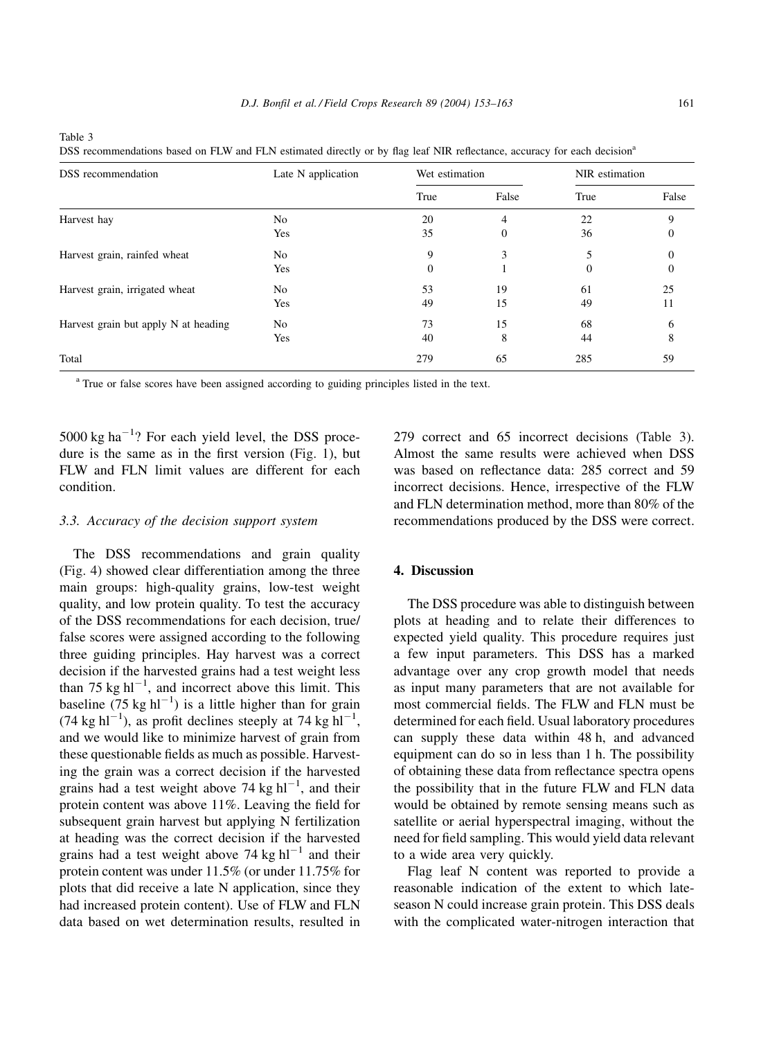Table 3

DSS recommendations based on FLW and FLN estimated directly or by flag leaf NIR reflectance, accuracy for each decision<sup>a</sup>

| DSS recommendation                   | Late N application | Wet estimation |          | NIR estimation |       |
|--------------------------------------|--------------------|----------------|----------|----------------|-------|
|                                      |                    | True           | False    | True           | False |
| Harvest hay                          | No                 | 20             | 4        | 22             | 9     |
|                                      | Yes                | 35             | $\theta$ | 36             | 0     |
| Harvest grain, rainfed wheat         | No                 | 9              | 3        | 5              | 0     |
|                                      | Yes                | $\Omega$       |          | $\theta$       | 0     |
| Harvest grain, irrigated wheat       | No                 | 53             | 19       | 61             | 25    |
|                                      | Yes                | 49             | 15       | 49             | 11    |
| Harvest grain but apply N at heading | No.                | 73             | 15       | 68             | 6     |
|                                      | Yes                | 40             | 8        | 44             | 8     |
| Total                                |                    | 279            | 65       | 285            | 59    |

<sup>a</sup> True or false scores have been assigned according to guiding principles listed in the text.

 $5000 \text{ kg}$  ha<sup>-1</sup>? For each yield level, the DSS procedure is the same as in the first version (Fig. 1), but FLW and FLN limit values are different for each condition.

## *3.3. Accuracy of the decision support system*

The DSS recommendations and grain quality (Fig. 4) showed clear differentiation among the three main groups: high-quality grains, low-test weight quality, and low protein quality. To test the accuracy of the DSS recommendations for each decision, true/ false scores were assigned according to the following three guiding principles. Hay harvest was a correct decision if the harvested grains had a test weight less than 75 kg  $\text{hl}^{-1}$ , and incorrect above this limit. This baseline  $(75 \text{ kg} \text{ hl}^{-1})$  is a little higher than for grain  $(74 \text{ kg } \text{hl}^{-1})$ , as profit declines steeply at 74 kg  $\text{hl}^{-1}$ , and we would like to minimize harvest of grain from these questionable fields as much as possible. Harvesting the grain was a correct decision if the harvested grains had a test weight above 74 kg  $hl^{-1}$ , and their protein content was above 11%. Leaving the field for subsequent grain harvest but applying N fertilization at heading was the correct decision if the harvested grains had a test weight above 74 kg  $hl^{-1}$  and their protein content was under 11.5% (or under 11.75% for plots that did receive a late N application, since they had increased protein content). Use of FLW and FLN data based on wet determination results, resulted in 279 correct and 65 incorrect decisions (Table 3). Almost the same results were achieved when DSS was based on reflectance data: 285 correct and 59 incorrect decisions. Hence, irrespective of the FLW and FLN determination method, more than 80% of the recommendations produced by the DSS were correct.

#### 4. Discussion

The DSS procedure was able to distinguish between plots at heading and to relate their differences to expected yield quality. This procedure requires just a few input parameters. This DSS has a marked advantage over any crop growth model that needs as input many parameters that are not available for most commercial fields. The FLW and FLN must be determined for each field. Usual laboratory procedures can supply these data within 48 h, and advanced equipment can do so in less than 1 h. The possibility of obtaining these data from reflectance spectra opens the possibility that in the future FLW and FLN data would be obtained by remote sensing means such as satellite or aerial hyperspectral imaging, without the need for field sampling. This would yield data relevant to a wide area very quickly.

Flag leaf N content was reported to provide a reasonable indication of the extent to which lateseason N could increase grain protein. This DSS deals with the complicated water-nitrogen interaction that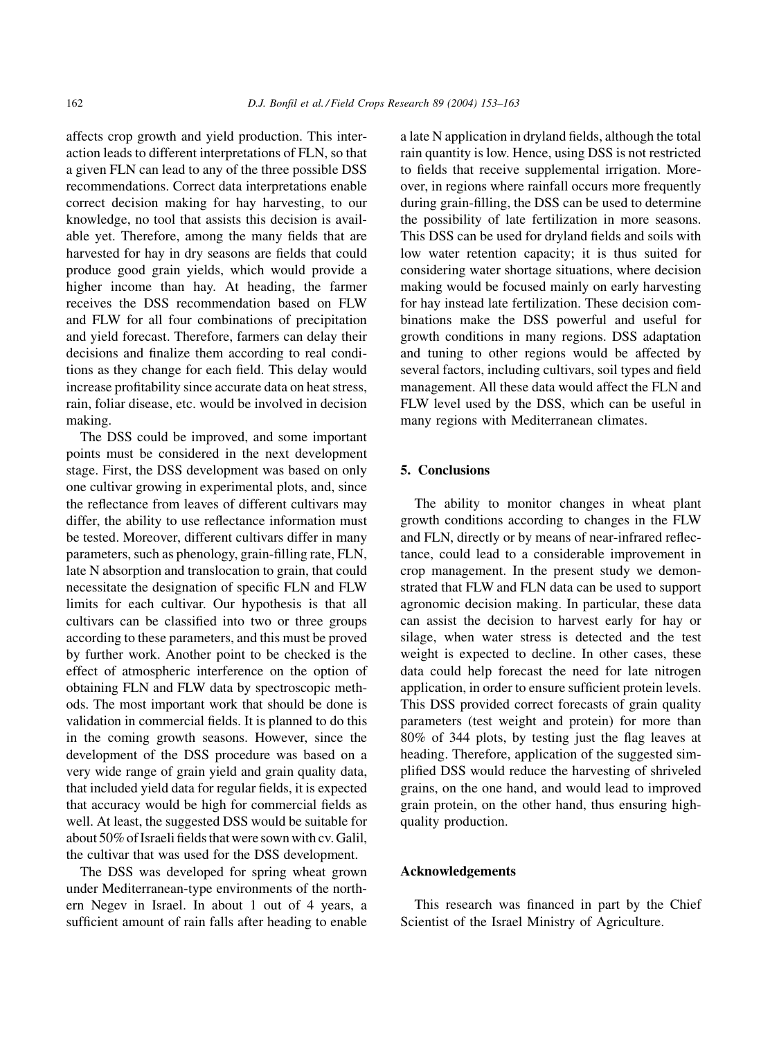affects crop growth and yield production. This interaction leads to different interpretations of FLN, so that a given FLN can lead to any of the three possible DSS recommendations. Correct data interpretations enable correct decision making for hay harvesting, to our knowledge, no tool that assists this decision is available yet. Therefore, among the many fields that are harvested for hay in dry seasons are fields that could produce good grain yields, which would provide a higher income than hay. At heading, the farmer receives the DSS recommendation based on FLW and FLW for all four combinations of precipitation and yield forecast. Therefore, farmers can delay their decisions and finalize them according to real conditions as they change for each field. This delay would increase profitability since accurate data on heat stress, rain, foliar disease, etc. would be involved in decision making.

The DSS could be improved, and some important points must be considered in the next development stage. First, the DSS development was based on only one cultivar growing in experimental plots, and, since the reflectance from leaves of different cultivars may differ, the ability to use reflectance information must be tested. Moreover, different cultivars differ in many parameters, such as phenology, grain-filling rate, FLN, late N absorption and translocation to grain, that could necessitate the designation of specific FLN and FLW limits for each cultivar. Our hypothesis is that all cultivars can be classified into two or three groups according to these parameters, and this must be proved by further work. Another point to be checked is the effect of atmospheric interference on the option of obtaining FLN and FLW data by spectroscopic methods. The most important work that should be done is validation in commercial fields. It is planned to do this in the coming growth seasons. However, since the development of the DSS procedure was based on a very wide range of grain yield and grain quality data, that included yield data for regular fields, it is expected that accuracy would be high for commercial fields as well. At least, the suggested DSS would be suitable for about 50% of Israeli fields that were sown with cv. Galil, the cultivar that was used for the DSS development.

The DSS was developed for spring wheat grown under Mediterranean-type environments of the northern Negev in Israel. In about 1 out of 4 years, a sufficient amount of rain falls after heading to enable a late N application in dryland fields, although the total rain quantity is low. Hence, using DSS is not restricted to fields that receive supplemental irrigation. Moreover, in regions where rainfall occurs more frequently during grain-filling, the DSS can be used to determine the possibility of late fertilization in more seasons. This DSS can be used for dryland fields and soils with low water retention capacity; it is thus suited for considering water shortage situations, where decision making would be focused mainly on early harvesting for hay instead late fertilization. These decision combinations make the DSS powerful and useful for growth conditions in many regions. DSS adaptation and tuning to other regions would be affected by several factors, including cultivars, soil types and field management. All these data would affect the FLN and FLW level used by the DSS, which can be useful in many regions with Mediterranean climates.

## 5. Conclusions

The ability to monitor changes in wheat plant growth conditions according to changes in the FLW and FLN, directly or by means of near-infrared reflectance, could lead to a considerable improvement in crop management. In the present study we demonstrated that FLW and FLN data can be used to support agronomic decision making. In particular, these data can assist the decision to harvest early for hay or silage, when water stress is detected and the test weight is expected to decline. In other cases, these data could help forecast the need for late nitrogen application, in order to ensure sufficient protein levels. This DSS provided correct forecasts of grain quality parameters (test weight and protein) for more than 80% of 344 plots, by testing just the flag leaves at heading. Therefore, application of the suggested simplified DSS would reduce the harvesting of shriveled grains, on the one hand, and would lead to improved grain protein, on the other hand, thus ensuring highquality production.

## Acknowledgements

This research was financed in part by the Chief Scientist of the Israel Ministry of Agriculture.